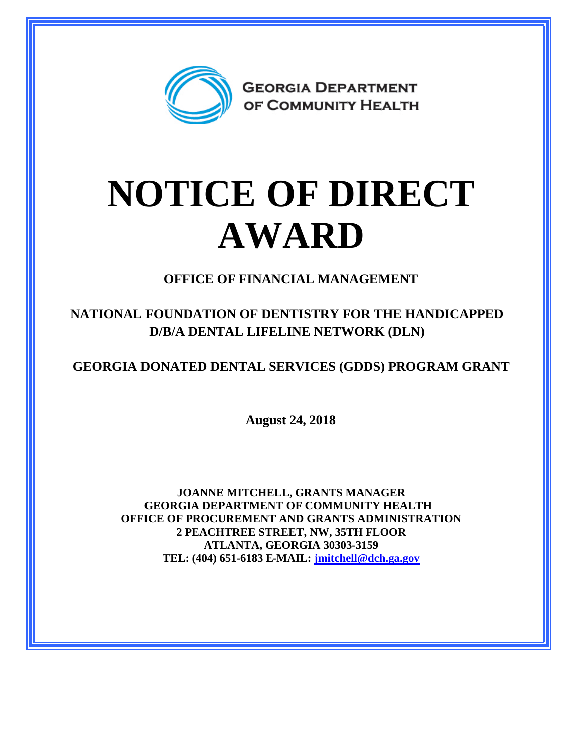

## **NOTICE OF DIRECT AWARD**

**OFFICE OF FINANCIAL MANAGEMENT**

**NATIONAL FOUNDATION OF DENTISTRY FOR THE HANDICAPPED D/B/A DENTAL LIFELINE NETWORK (DLN)**

**GEORGIA DONATED DENTAL SERVICES (GDDS) PROGRAM GRANT**

**August 24, 2018**

**JOANNE MITCHELL, GRANTS MANAGER GEORGIA DEPARTMENT OF COMMUNITY HEALTH OFFICE OF PROCUREMENT AND GRANTS ADMINISTRATION 2 PEACHTREE STREET, NW, 35TH FLOOR ATLANTA, GEORGIA 30303-3159 TEL: (404) 651-6183 E-MAIL: [jmitchell@dch.ga.gov](mailto:jmitchell@dch.ga.gov)**